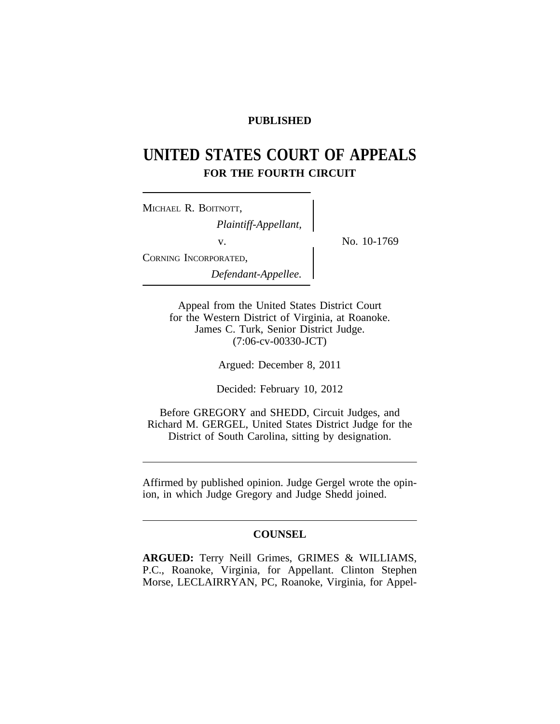## **PUBLISHED**

# **UNITED STATES COURT OF APPEALS FOR THE FOURTH CIRCUIT**

| MICHAEL R. BOITNOTT,  |  |
|-----------------------|--|
| Plaintiff-Appellant,  |  |
| V.                    |  |
| CORNING INCORPORATED, |  |
| Defendant-Appellee.   |  |

No. 10-1769

Appeal from the United States District Court for the Western District of Virginia, at Roanoke. James C. Turk, Senior District Judge. (7:06-cv-00330-JCT)

Argued: December 8, 2011

Decided: February 10, 2012

Before GREGORY and SHEDD, Circuit Judges, and Richard M. GERGEL, United States District Judge for the District of South Carolina, sitting by designation.

Affirmed by published opinion. Judge Gergel wrote the opinion, in which Judge Gregory and Judge Shedd joined.

## **COUNSEL**

**ARGUED:** Terry Neill Grimes, GRIMES & WILLIAMS, P.C., Roanoke, Virginia, for Appellant. Clinton Stephen Morse, LECLAIRRYAN, PC, Roanoke, Virginia, for Appel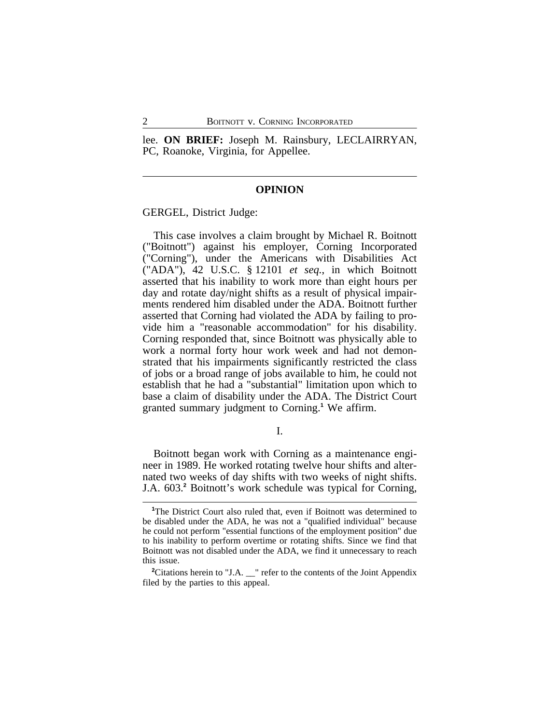lee. **ON BRIEF:** Joseph M. Rainsbury, LECLAIRRYAN, PC, Roanoke, Virginia, for Appellee.

#### **OPINION**

GERGEL, District Judge:

This case involves a claim brought by Michael R. Boitnott ("Boitnott") against his employer, Corning Incorporated ("Corning"), under the Americans with Disabilities Act ("ADA"), 42 U.S.C. § 12101 *et seq.*, in which Boitnott asserted that his inability to work more than eight hours per day and rotate day/night shifts as a result of physical impairments rendered him disabled under the ADA. Boitnott further asserted that Corning had violated the ADA by failing to provide him a "reasonable accommodation" for his disability. Corning responded that, since Boitnott was physically able to work a normal forty hour work week and had not demonstrated that his impairments significantly restricted the class of jobs or a broad range of jobs available to him, he could not establish that he had a "substantial" limitation upon which to base a claim of disability under the ADA. The District Court granted summary judgment to Corning.**<sup>1</sup>** We affirm.

I.

Boitnott began work with Corning as a maintenance engineer in 1989. He worked rotating twelve hour shifts and alternated two weeks of day shifts with two weeks of night shifts. J.A. 603.**<sup>2</sup>** Boitnott's work schedule was typical for Corning,

<sup>&</sup>lt;sup>1</sup>The District Court also ruled that, even if Boitnott was determined to be disabled under the ADA, he was not a "qualified individual" because he could not perform "essential functions of the employment position" due to his inability to perform overtime or rotating shifts. Since we find that Boitnott was not disabled under the ADA, we find it unnecessary to reach this issue.

<sup>&</sup>lt;sup>2</sup>Citations herein to "J.A. <sup>refer</sup> to the contents of the Joint Appendix filed by the parties to this appeal.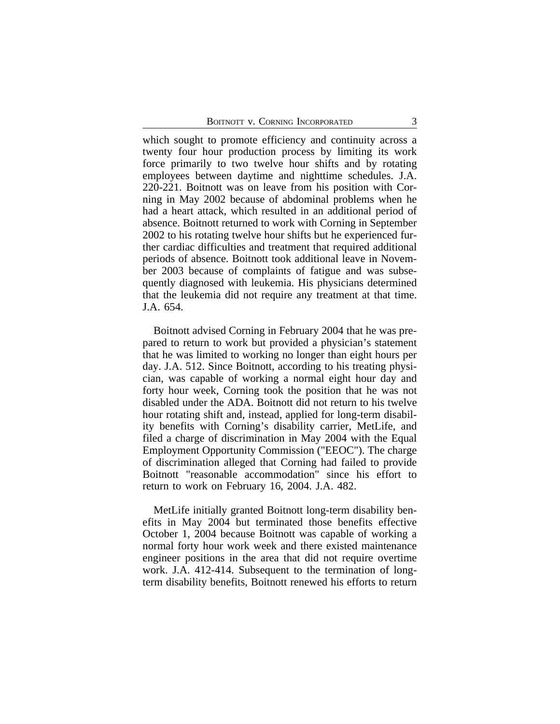which sought to promote efficiency and continuity across a twenty four hour production process by limiting its work force primarily to two twelve hour shifts and by rotating employees between daytime and nighttime schedules. J.A. 220-221. Boitnott was on leave from his position with Corning in May 2002 because of abdominal problems when he had a heart attack, which resulted in an additional period of absence. Boitnott returned to work with Corning in September 2002 to his rotating twelve hour shifts but he experienced further cardiac difficulties and treatment that required additional periods of absence. Boitnott took additional leave in November 2003 because of complaints of fatigue and was subsequently diagnosed with leukemia. His physicians determined that the leukemia did not require any treatment at that time. J.A. 654.

Boitnott advised Corning in February 2004 that he was prepared to return to work but provided a physician's statement that he was limited to working no longer than eight hours per day. J.A. 512. Since Boitnott, according to his treating physician, was capable of working a normal eight hour day and forty hour week, Corning took the position that he was not disabled under the ADA. Boitnott did not return to his twelve hour rotating shift and, instead, applied for long-term disability benefits with Corning's disability carrier, MetLife, and filed a charge of discrimination in May 2004 with the Equal Employment Opportunity Commission ("EEOC"). The charge of discrimination alleged that Corning had failed to provide Boitnott "reasonable accommodation" since his effort to return to work on February 16, 2004. J.A. 482.

MetLife initially granted Boitnott long-term disability benefits in May 2004 but terminated those benefits effective October 1, 2004 because Boitnott was capable of working a normal forty hour work week and there existed maintenance engineer positions in the area that did not require overtime work. J.A. 412-414. Subsequent to the termination of longterm disability benefits, Boitnott renewed his efforts to return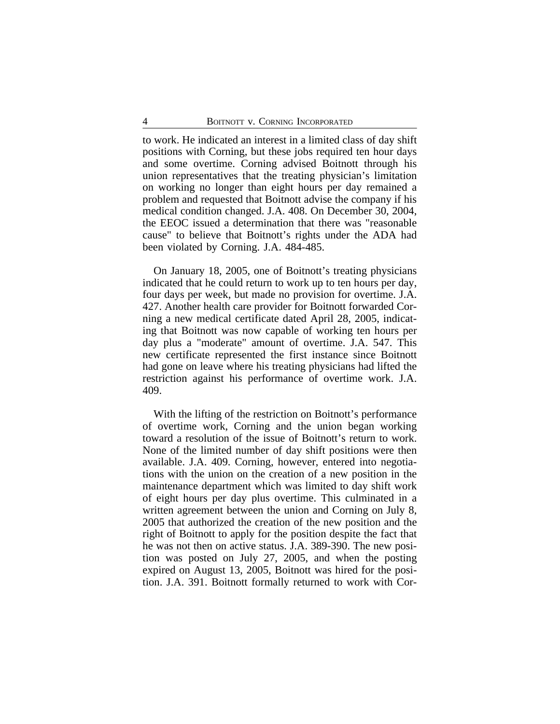to work. He indicated an interest in a limited class of day shift positions with Corning, but these jobs required ten hour days and some overtime. Corning advised Boitnott through his union representatives that the treating physician's limitation on working no longer than eight hours per day remained a problem and requested that Boitnott advise the company if his medical condition changed. J.A. 408. On December 30, 2004, the EEOC issued a determination that there was "reasonable cause" to believe that Boitnott's rights under the ADA had been violated by Corning. J.A. 484-485.

On January 18, 2005, one of Boitnott's treating physicians indicated that he could return to work up to ten hours per day, four days per week, but made no provision for overtime. J.A. 427. Another health care provider for Boitnott forwarded Corning a new medical certificate dated April 28, 2005, indicating that Boitnott was now capable of working ten hours per day plus a "moderate" amount of overtime. J.A. 547. This new certificate represented the first instance since Boitnott had gone on leave where his treating physicians had lifted the restriction against his performance of overtime work. J.A. 409.

With the lifting of the restriction on Boitnott's performance of overtime work, Corning and the union began working toward a resolution of the issue of Boitnott's return to work. None of the limited number of day shift positions were then available. J.A. 409. Corning, however, entered into negotiations with the union on the creation of a new position in the maintenance department which was limited to day shift work of eight hours per day plus overtime. This culminated in a written agreement between the union and Corning on July 8, 2005 that authorized the creation of the new position and the right of Boitnott to apply for the position despite the fact that he was not then on active status. J.A. 389-390. The new position was posted on July 27, 2005, and when the posting expired on August 13, 2005, Boitnott was hired for the position. J.A. 391. Boitnott formally returned to work with Cor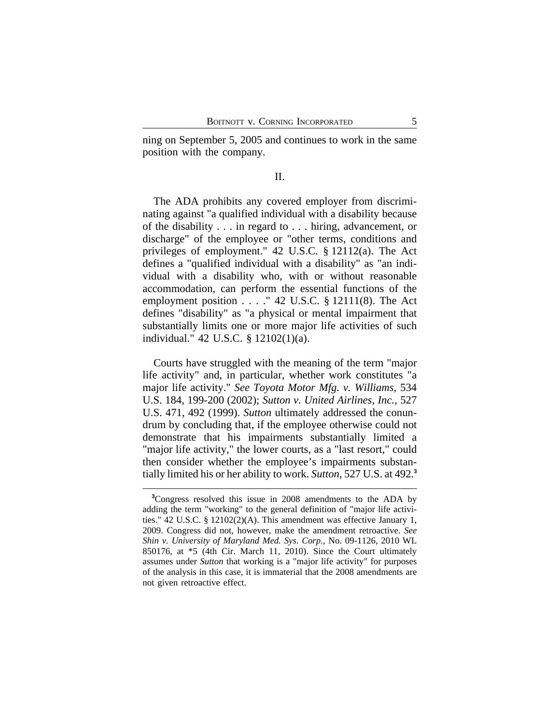ning on September 5, 2005 and continues to work in the same position with the company.

### II.

The ADA prohibits any covered employer from discriminating against "a qualified individual with a disability because of the disability . . . in regard to . . . hiring, advancement, or discharge" of the employee or "other terms, conditions and privileges of employment." 42 U.S.C. § 12112(a). The Act defines a "qualified individual with a disability" as "an individual with a disability who, with or without reasonable accommodation, can perform the essential functions of the employment position . . . ." 42 U.S.C. § 12111(8). The Act defines "disability" as "a physical or mental impairment that substantially limits one or more major life activities of such individual." 42 U.S.C. § 12102(1)(a).

Courts have struggled with the meaning of the term "major life activity" and, in particular, whether work constitutes "a major life activity." *See Toyota Motor Mfg. v. Williams*, 534 U.S. 184, 199-200 (2002); *Sutton v. United Airlines, Inc.*, 527 U.S. 471, 492 (1999). *Sutton* ultimately addressed the conundrum by concluding that, if the employee otherwise could not demonstrate that his impairments substantially limited a "major life activity," the lower courts, as a "last resort," could then consider whether the employee's impairments substantially limited his or her ability to work. *Sutton*, 527 U.S. at 492.**<sup>3</sup>**

**<sup>3</sup>**Congress resolved this issue in 2008 amendments to the ADA by adding the term "working" to the general definition of "major life activities." 42 U.S.C. § 12102(2)(A). This amendment was effective January 1, 2009. Congress did not, however, make the amendment retroactive. *See Shin v. University of Maryland Med. Sys. Corp.*, No. 09-1126, 2010 WL 850176, at \*5 (4th Cir. March 11, 2010). Since the Court ultimately assumes under *Sutton* that working is a "major life activity" for purposes of the analysis in this case, it is immaterial that the 2008 amendments are not given retroactive effect.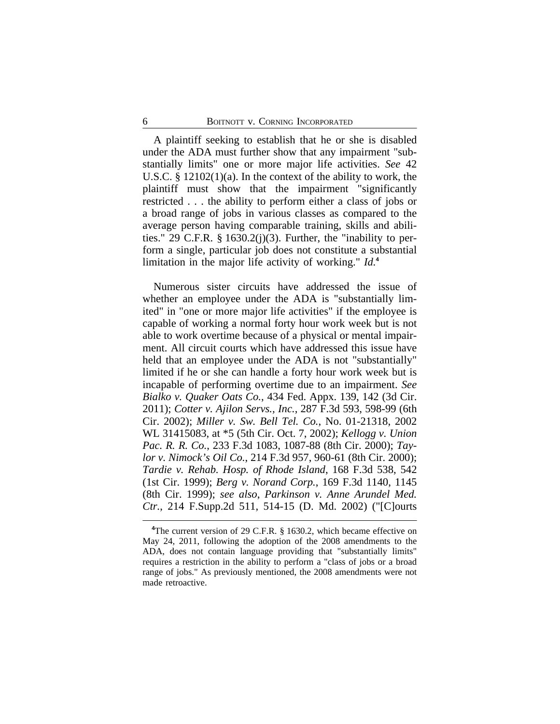A plaintiff seeking to establish that he or she is disabled under the ADA must further show that any impairment "substantially limits" one or more major life activities. *See* 42 U.S.C. § 12102(1)(a). In the context of the ability to work, the plaintiff must show that the impairment "significantly restricted . . . the ability to perform either a class of jobs or a broad range of jobs in various classes as compared to the average person having comparable training, skills and abilities." 29 C.F.R.  $\S$  1630.2(j)(3). Further, the "inability to perform a single, particular job does not constitute a substantial limitation in the major life activity of working." *Id.***<sup>4</sup>**

Numerous sister circuits have addressed the issue of whether an employee under the ADA is "substantially limited" in "one or more major life activities" if the employee is capable of working a normal forty hour work week but is not able to work overtime because of a physical or mental impairment. All circuit courts which have addressed this issue have held that an employee under the ADA is not "substantially" limited if he or she can handle a forty hour work week but is incapable of performing overtime due to an impairment. *See Bialko v. Quaker Oats Co.*, 434 Fed. Appx. 139, 142 (3d Cir. 2011); *Cotter v. Ajilon Servs., Inc.*, 287 F.3d 593, 598-99 (6th Cir. 2002); *Miller v. Sw. Bell Tel. Co.*, No. 01-21318, 2002 WL 31415083, at \*5 (5th Cir. Oct. 7, 2002); *Kellogg v. Union Pac. R. R. Co.*, 233 F.3d 1083, 1087-88 (8th Cir. 2000); *Taylor v. Nimock's Oil Co.*, 214 F.3d 957, 960-61 (8th Cir. 2000); *Tardie v. Rehab. Hosp. of Rhode Island*, 168 F.3d 538, 542 (1st Cir. 1999); *Berg v. Norand Corp.*, 169 F.3d 1140, 1145 (8th Cir. 1999); *see also*, *Parkinson v. Anne Arundel Med. Ctr.*, 214 F.Supp.2d 511, 514-15 (D. Md. 2002) ("[C]ourts

**<sup>4</sup>**The current version of 29 C.F.R. § 1630.2, which became effective on May 24, 2011, following the adoption of the 2008 amendments to the ADA, does not contain language providing that "substantially limits" requires a restriction in the ability to perform a "class of jobs or a broad range of jobs." As previously mentioned, the 2008 amendments were not made retroactive.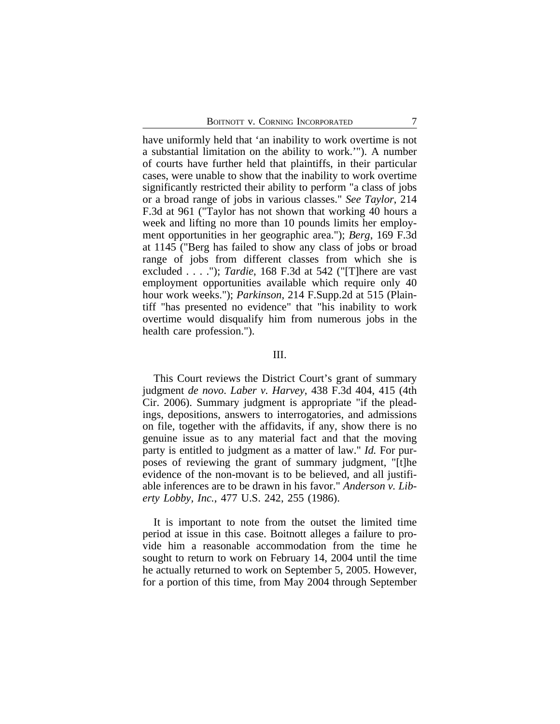have uniformly held that 'an inability to work overtime is not a substantial limitation on the ability to work.'"). A number of courts have further held that plaintiffs, in their particular cases, were unable to show that the inability to work overtime significantly restricted their ability to perform "a class of jobs or a broad range of jobs in various classes." *See Taylor*, 214 F.3d at 961 ("Taylor has not shown that working 40 hours a week and lifting no more than 10 pounds limits her employment opportunities in her geographic area."); *Berg*, 169 F.3d at 1145 ("Berg has failed to show any class of jobs or broad range of jobs from different classes from which she is excluded . . . ."); *Tardie*, 168 F.3d at 542 ("[T]here are vast employment opportunities available which require only 40 hour work weeks."); *Parkinson*, 214 F.Supp.2d at 515 (Plaintiff "has presented no evidence" that "his inability to work overtime would disqualify him from numerous jobs in the health care profession.").

#### III.

This Court reviews the District Court's grant of summary judgment *de novo*. *Laber v. Harvey*, 438 F.3d 404, 415 (4th Cir. 2006). Summary judgment is appropriate "if the pleadings, depositions, answers to interrogatories, and admissions on file, together with the affidavits, if any, show there is no genuine issue as to any material fact and that the moving party is entitled to judgment as a matter of law." *Id.* For purposes of reviewing the grant of summary judgment, "[t]he evidence of the non-movant is to be believed, and all justifiable inferences are to be drawn in his favor." *Anderson v. Liberty Lobby, Inc.*, 477 U.S. 242, 255 (1986).

It is important to note from the outset the limited time period at issue in this case. Boitnott alleges a failure to provide him a reasonable accommodation from the time he sought to return to work on February 14, 2004 until the time he actually returned to work on September 5, 2005. However, for a portion of this time, from May 2004 through September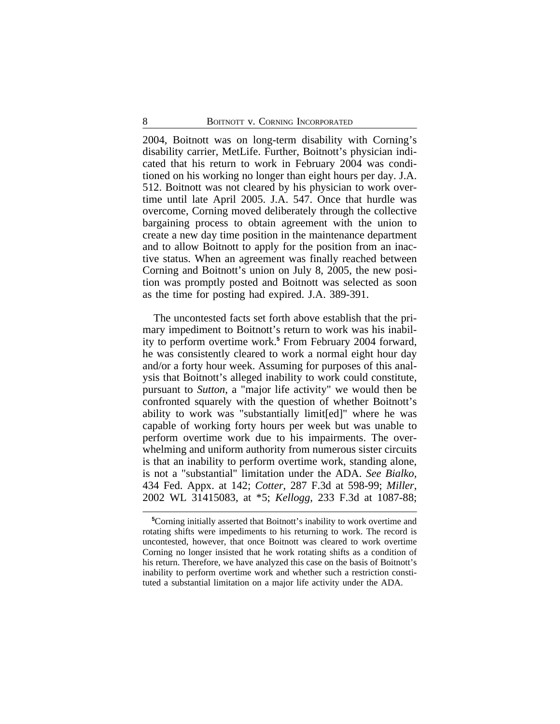2004, Boitnott was on long-term disability with Corning's disability carrier, MetLife. Further, Boitnott's physician indicated that his return to work in February 2004 was conditioned on his working no longer than eight hours per day. J.A. 512. Boitnott was not cleared by his physician to work overtime until late April 2005. J.A. 547. Once that hurdle was overcome, Corning moved deliberately through the collective bargaining process to obtain agreement with the union to create a new day time position in the maintenance department and to allow Boitnott to apply for the position from an inactive status. When an agreement was finally reached between Corning and Boitnott's union on July 8, 2005, the new position was promptly posted and Boitnott was selected as soon as the time for posting had expired. J.A. 389-391.

The uncontested facts set forth above establish that the primary impediment to Boitnott's return to work was his inability to perform overtime work.**<sup>5</sup>** From February 2004 forward, he was consistently cleared to work a normal eight hour day and/or a forty hour week. Assuming for purposes of this analysis that Boitnott's alleged inability to work could constitute, pursuant to *Sutton*, a "major life activity" we would then be confronted squarely with the question of whether Boitnott's ability to work was "substantially limit[ed]" where he was capable of working forty hours per week but was unable to perform overtime work due to his impairments. The overwhelming and uniform authority from numerous sister circuits is that an inability to perform overtime work, standing alone, is not a "substantial" limitation under the ADA. *See Bialko*, 434 Fed. Appx. at 142; *Cotter*, 287 F.3d at 598-99; *Miller*, 2002 WL 31415083, at \*5; *Kellogg*, 233 F.3d at 1087-88;

**<sup>5</sup>**Corning initially asserted that Boitnott's inability to work overtime and rotating shifts were impediments to his returning to work. The record is uncontested, however, that once Boitnott was cleared to work overtime Corning no longer insisted that he work rotating shifts as a condition of his return. Therefore, we have analyzed this case on the basis of Boitnott's inability to perform overtime work and whether such a restriction constituted a substantial limitation on a major life activity under the ADA.